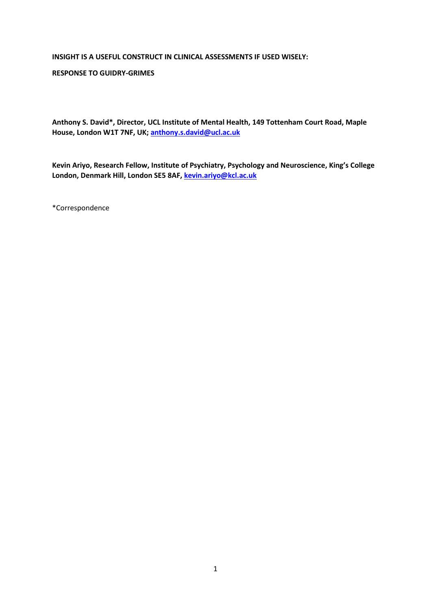#### **INSIGHT IS A USEFUL CONSTRUCT IN CLINICAL ASSESSMENTS IF USED WISELY:**

#### **RESPONSE TO GUIDRY-GRIMES**

**Anthony S. David\*, Director, UCL Institute of Mental Health, 149 Tottenham Court Road, Maple House, London W1T 7NF, UK; [anthony.s.david@ucl.ac.uk](mailto:anthony.s.david@ucl.ac.uk)**

**Kevin Ariyo, Research Fellow, Institute of Psychiatry, Psychology and Neuroscience, King's College London, Denmark Hill, London SE5 8AF, [kevin.ariyo@kcl.ac.uk](mailto:kevin.ariyo@kcl.ac.uk)**

\*Correspondence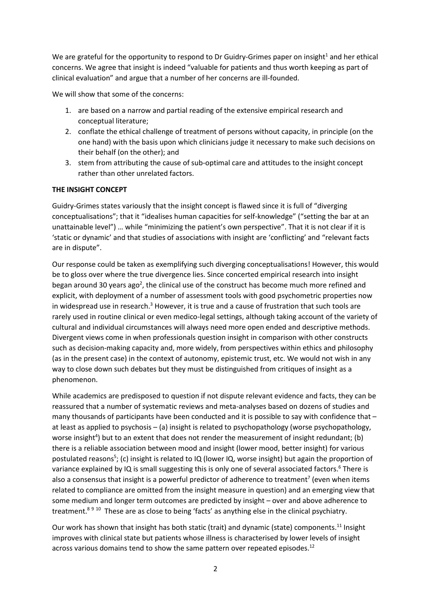We are grateful for the opportunity to respond to Dr Guidry-Grimes paper on insight<sup>1</sup> and her ethical concerns. We agree that insight is indeed "valuable for patients and thus worth keeping as part of clinical evaluation" and argue that a number of her concerns are ill-founded.

We will show that some of the concerns:

- 1. are based on a narrow and partial reading of the extensive empirical research and conceptual literature;
- 2. conflate the ethical challenge of treatment of persons without capacity, in principle (on the one hand) with the basis upon which clinicians judge it necessary to make such decisions on their behalf (on the other); and
- 3. stem from attributing the cause of sub-optimal care and attitudes to the insight concept rather than other unrelated factors.

# **THE INSIGHT CONCEPT**

Guidry-Grimes states variously that the insight concept is flawed since it is full of "diverging conceptualisations"; that it "idealises human capacities for self-knowledge" ("setting the bar at an unattainable level") … while "minimizing the patient's own perspective". That it is not clear if it is 'static or dynamic' and that studies of associations with insight are 'conflicting' and "relevant facts are in dispute".

Our response could be taken as exemplifying such diverging conceptualisations! However, this would be to gloss over where the true divergence lies. Since concerted empirical research into insight began around 30 years ago<sup>2</sup>, the clinical use of the construct has become much more refined and explicit, with deployment of a number of assessment tools with good psychometric properties now in widespread use in research. $3$  However, it is true and a cause of frustration that such tools are rarely used in routine clinical or even medico-legal settings, although taking account of the variety of cultural and individual circumstances will always need more open ended and descriptive methods. Divergent views come in when professionals question insight in comparison with other constructs such as decision-making capacity and, more widely, from perspectives within ethics and philosophy (as in the present case) in the context of autonomy, epistemic trust, etc. We would not wish in any way to close down such debates but they must be distinguished from critiques of insight as a phenomenon.

While academics are predisposed to question if not dispute relevant evidence and facts, they can be reassured that a number of systematic reviews and meta-analyses based on dozens of studies and many thousands of participants have been conducted and it is possible to say with confidence that – at least as applied to psychosis – (a) insight is related to psychopathology (worse psychopathology, worse insight<sup>4</sup>) but to an extent that does not render the measurement of insight redundant; (b) there is a reliable association between mood and insight (lower mood, better insight) for various postulated reasons<sup>5</sup>; (c) insight is related to IQ (lower IQ, worse insight) but again the proportion of variance explained by IQ is small suggesting this is only one of several associated factors.<sup>6</sup> There is also a consensus that insight is a powerful predictor of adherence to treatment<sup>7</sup> (even when items related to compliance are omitted from the insight measure in question) and an emerging view that some medium and longer term outcomes are predicted by insight – over and above adherence to treatment.<sup>8 9 10</sup> These are as close to being 'facts' as anything else in the clinical psychiatry.

Our work has shown that insight has both static (trait) and dynamic (state) components.<sup>11</sup> Insight improves with clinical state but patients whose illness is characterised by lower levels of insight across various domains tend to show the same pattern over repeated episodes.<sup>12</sup>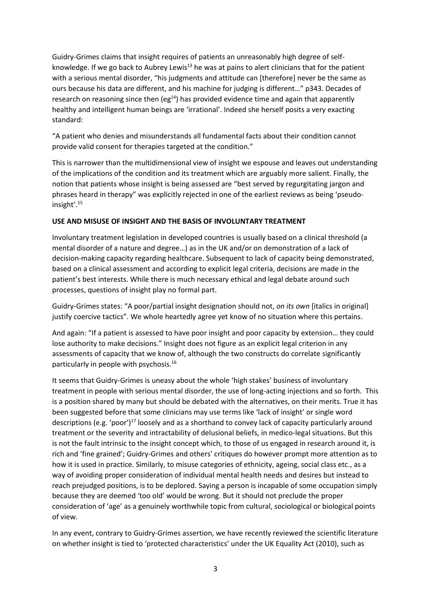Guidry-Grimes claims that insight requires of patients an unreasonably high degree of selfknowledge. If we go back to Aubrey Lewis<sup>13</sup> he was at pains to alert clinicians that for the patient with a serious mental disorder, "his judgments and attitude can [therefore] never be the same as ours because his data are different, and his machine for judging is different…" p343. Decades of research on reasoning since then ( $eg^{14}$ ) has provided evidence time and again that apparently healthy and intelligent human beings are 'irrational'. Indeed she herself posits a very exacting standard:

"A patient who denies and misunderstands all fundamental facts about their condition cannot provide valid consent for therapies targeted at the condition."

This is narrower than the multidimensional view of insight we espouse and leaves out understanding of the implications of the condition and its treatment which are arguably more salient. Finally, the notion that patients whose insight is being assessed are "best served by regurgitating jargon and phrases heard in therapy" was explicitly rejected in one of the earliest reviews as being 'pseudoinsight'.<sup>15</sup>

# **USE AND MISUSE OF INSIGHT AND THE BASIS OF INVOLUNTARY TREATMENT**

Involuntary treatment legislation in developed countries is usually based on a clinical threshold (a mental disorder of a nature and degree…) as in the UK and/or on demonstration of a lack of decision-making capacity regarding healthcare. Subsequent to lack of capacity being demonstrated, based on a clinical assessment and according to explicit legal criteria, decisions are made in the patient's best interests. While there is much necessary ethical and legal debate around such processes, questions of insight play no formal part.

Guidry-Grimes states: "A poor/partial insight designation should not, *on its own* [italics in original] justify coercive tactics". We whole heartedly agree yet know of no situation where this pertains.

And again: "If a patient is assessed to have poor insight and poor capacity by extension… they could lose authority to make decisions." Insight does not figure as an explicit legal criterion in any assessments of capacity that we know of, although the two constructs do correlate significantly particularly in people with psychosis. 16

It seems that Guidry-Grimes is uneasy about the whole 'high stakes' business of involuntary treatment in people with serious mental disorder, the use of long-acting injections and so forth. This is a position shared by many but should be debated with the alternatives, on their merits. True it has been suggested before that some clinicians may use terms like 'lack of insight' or single word descriptions (e.g. 'poor') <sup>17</sup> loosely and as a shorthand to convey lack of capacity particularly around treatment or the severity and intractability of delusional beliefs, in medico-legal situations. But this is not the fault intrinsic to the insight concept which, to those of us engaged in research around it, is rich and 'fine grained'; Guidry-Grimes and others' critiques do however prompt more attention as to how it is used in practice. Similarly, to misuse categories of ethnicity, ageing, social class etc., as a way of avoiding proper consideration of individual mental health needs and desires but instead to reach prejudged positions, is to be deplored. Saying a person is incapable of some occupation simply because they are deemed 'too old' would be wrong. But it should not preclude the proper consideration of 'age' as a genuinely worthwhile topic from cultural, sociological or biological points of view.

In any event, contrary to Guidry-Grimes assertion, we have recently reviewed the scientific literature on whether insight is tied to 'protected characteristics' under the UK Equality Act (2010), such as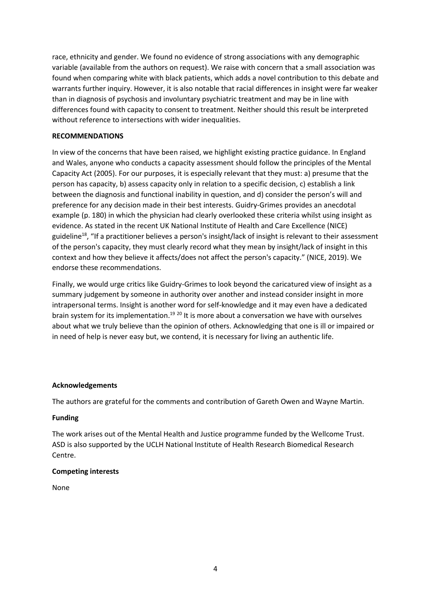race, ethnicity and gender. We found no evidence of strong associations with any demographic variable (available from the authors on request). We raise with concern that a small association was found when comparing white with black patients, which adds a novel contribution to this debate and warrants further inquiry. However, it is also notable that racial differences in insight were far weaker than in diagnosis of psychosis and involuntary psychiatric treatment and may be in line with differences found with capacity to consent to treatment. Neither should this result be interpreted without reference to intersections with wider inequalities.

# **RECOMMENDATIONS**

In view of the concerns that have been raised, we highlight existing practice guidance. In England and Wales, anyone who conducts a capacity assessment should follow the principles of the Mental Capacity Act (2005). For our purposes, it is especially relevant that they must: a) presume that the person has capacity, b) assess capacity only in relation to a specific decision, c) establish a link between the diagnosis and functional inability in question, and d) consider the person's will and preference for any decision made in their best interests. Guidry-Grimes provides an anecdotal example (p. 180) in which the physician had clearly overlooked these criteria whilst using insight as evidence. As stated in the recent UK National Institute of Health and Care Excellence (NICE) guideline<sup>18</sup>, "If a practitioner believes a person's insight/lack of insight is relevant to their assessment of the person's capacity, they must clearly record what they mean by insight/lack of insight in this context and how they believe it affects/does not affect the person's capacity." (NICE, 2019). We endorse these recommendations.

Finally, we would urge critics like Guidry-Grimes to look beyond the caricatured view of insight as a summary judgement by someone in authority over another and instead consider insight in more intrapersonal terms. Insight is another word for self-knowledge and it may even have a dedicated brain system for its implementation.<sup>19 20</sup> It is more about a conversation we have with ourselves about what we truly believe than the opinion of others. Acknowledging that one is ill or impaired or in need of help is never easy but, we contend, it is necessary for living an authentic life.

### **Acknowledgements**

The authors are grateful for the comments and contribution of Gareth Owen and Wayne Martin.

### **Funding**

The work arises out of the Mental Health and Justice programme funded by the Wellcome Trust. ASD is also supported by the UCLH National Institute of Health Research Biomedical Research Centre.

# **Competing interests**

None